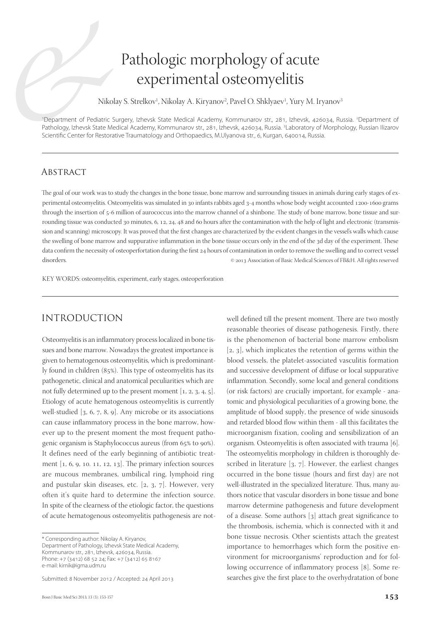# Pathologic morphology of acute experimental osteomyelitis

Nikolay S. Strelkov<sup>1</sup>, Nikolay A. Kiryanov<sup>2</sup>, Pavel O. Shklyaev<sup>1</sup>, Yury M. Iryanov<sup>3</sup>

<sup>1</sup>Department of Pediatric Surgery, Izhevsk State Medical Academy, Kommunarov str., 281, Izhevsk, 426034, Russia. <sup>2</sup>Department of Pathology, Izhevsk State Medical Academy, Kommunarov str., 281, Izhevsk, 426034, Russia. <sup>3</sup>Laboratory of Morphology, Russian Ilizarov Scientific Center for Restorative Traumatology and Orthopaedics, M.Ulyanova str., 6, Kurgan, 640014, Russia.

### **ABSTRACT**

The goal of our work was to study the changes in the bone tissue, bone marrow and surrounding tissues in animals during early stages of experimental osteomyelitis. Osteomyelitis was simulated in 30 infants rabbits aged 3-4 months whose body weight accounted 1200-1600 grams through the insertion of 5-6 million of aurococcus into the marrow channel of a shinbone. The study of bone marrow, bone tissue and surrounding tissue was conducted 30 minutes, 6, 12, 24, 48 and 60 hours after the contamination with the help of light and electronic (transmission and scanning) microscopy. It was proved that the first changes are characterized by the evident changes in the vessel's walls which cause the swelling of bone marrow and suppurative inflammation in the bone tissue occurs only in the end of the 3d day of the experiment. These data confirm the necessity of osteoperfortation during the first 24 hours of contamination in order to remove the swelling and to correct vessel disorders. **Exercise 2013** Association of Basic Medical Sciences of FB&H. All rights reserved

KEY WORDS: osteomyelitis, experiment, early stages, osteoperforation

# INTRODUCTION

Osteomyelitis is an inflammatory process localized in bone tissues and bone marrow. Nowadays the greatest importance is given to hematogenous osteomyelitis, which is predominantly found in children  $(85%)$ . This type of osteomyelitis has its pathogenetic, clinical and anatomical peculiarities which are not fully determined up to the present moment  $[1, 2, 3, 4, 5]$ . Etiology of acute hematogenous osteomyelitis is currently well-studied  $[3, 6, 7, 8, 9]$ . Any microbe or its associations can cause inflammatory process in the bone marrow, however up to the present moment the most frequent pathogenic organism is Staphylococcus aureus (from 65% to 90%). It defines need of the early beginning of antibiotic treatment  $[1, 6, 9, 10. 11, 12, 13]$ . The primary infection sources are mucous membranes, umbilical ring, lymphoid ring and pustular skin diseases, etc.  $[2, 3, 7]$ . However, very often it's quite hard to determine the infection source. In spite of the clearness of the etiologic factor, the questions of acute hematogenous osteomyelitis pathogenesis are not-

Submitted: 8 November 2012 / Accepted: 24 April 2013

well defined till the present moment. There are two mostly reasonable theories of disease pathogenesis. Firstly, there is the phenomenon of bacterial bone marrow embolism  $[2, 3]$ , which implicates the retention of germs within the blood vessels, the platelet-associated vasculitis formation and successive development of diffuse or local suppurative inflammation. Secondly, some local and general conditions (or risk factors) are crucially important, for example - anatomic and physiological peculiarities of a growing bone, the amplitude of blood supply, the presence of wide sinusoids and retarded blood flow within them - all this facilitates the microorganism fixation, cooling and sensibilization of an organism. Osteomyelitis is often associated with trauma [6]. The osteomyelitis morphology in children is thoroughly described in literature  $[3, 7]$ . However, the earliest changes occurred in the bone tissue (hours and first day) are not well-illustrated in the specialized literature. Thus, many authors notice that vascular disorders in bone tissue and bone marrow determine pathogenesis and future development of a disease. Some authors  $\lceil 3 \rceil$  attach great significance to the thrombosis, ischemia, which is connected with it and bone tissue necrosis. Other scientists attach the greatest importance to hemorrhages which form the positive environment for microorganisms' reproduction and for following occurrence of inflammatory process [8]. Some researches give the first place to the overhydratation of bone

<sup>\*</sup> Corresponding author: Nikolay A. Kiryanov, Department of Pathology, Izhevsk State Medical Academy, Kommunarov str., 281, Izhevsk, 426034, Russia. Phone: +7 (3412) 68 52 24; Fax: +7 (3412) 65 8167 e-mail: kirnik@igma.udm.ru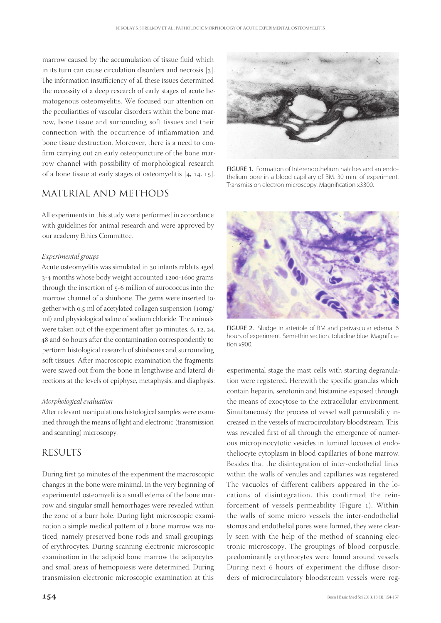marrow caused by the accumulation of tissue fluid which in its turn can cause circulation disorders and necrosis  $[3]$ . The information insufficiency of all these issues determined the necessity of a deep research of early stages of acute hematogenous osteomyelitis. We focused our attention on the peculiarities of vascular disorders within the bone marrow, bone tissue and surrounding soft tissues and their connection with the occurrence of inflammation and bone tissue destruction. Moreover, there is a need to confirm carrying out an early osteopuncture of the bone marrow channel with possibility of morphological research of a bone tissue at early stages of osteomyelitis  $[4, 14, 15]$ .

# MATERIAL AND METHODS

All experiments in this study were performed in accordance with guidelines for animal research and were approved by our academy Ethics Committee.

#### *Experimental groups*

Acute osteomyelitis was simulated in 30 infants rabbits aged 3-4 months whose body weight accounted 1200-1600 grams through the insertion of  $5-6$  million of aurococcus into the marrow channel of a shinbone. The gems were inserted together with 0.5 ml of acetylated collagen suspension (10mg/ ml) and physiological saline of sodium chloride. The animals were taken out of the experiment after  $30$  minutes, 6, 12, 24, 48 and 60 hours after the contamination correspondently to perform histological research of shinbones and surrounding soft tissues. After macroscopic examination the fragments were sawed out from the bone in lengthwise and lateral directions at the levels of epiphyse, metaphysis, and diaphysis.

#### *Morphological evaluation*

After relevant manipulations histological samples were examined through the means of light and electronic (transmission and scanning) microscopy.

## RESULTS

During first 30 minutes of the experiment the macroscopic changes in the bone were minimal. In the very beginning of experimental osteomyelitis a small edema of the bone marrow and singular small hemorrhages were revealed within the zone of a burr hole. During light microscopic examination a simple medical pattern of a bone marrow was noticed, namely preserved bone rods and small groupings of erythrocytes. During scanning electronic microscopic examination in the adipoid bone marrow the adipocytes and small areas of hemopoiesis were determined. During transmission electronic microscopic examination at this



FIGURE 1. Formation of Interendothelium hatches and an endothelium pore in a blood capillary of BM. 30 min. of experiment. Transmission electron microscopy. Magnification x3300.



FIGURE 2. Sludge in arteriole of BM and perivascular edema. 6 hours of experiment. Semi-thin section. toluidine blue. Magnification х900.

experimental stage the mast cells with starting degranulation were registered. Herewith the specific granulas which contain heparin, serotonin and histamine exposed through the means of exocytose to the extracellular environment. Simultaneously the process of vessel wall permeability increased in the vessels of microcirculatory bloodstream. This was revealed first of all through the emergence of numerous micropinocytotic vesicles in luminal locuses of endotheliocyte cytoplasm in blood capillaries of bone marrow. Besides that the disintegration of inter-endothelial links within the walls of venules and capillaries was registered. The vacuoles of different calibers appeared in the locations of disintegration, this confirmed the reinforcement of vessels permeability (Figure 1). Within the walls of some micro vessels the inter-endothelial stomas and endothelial pores were formed, they were clearly seen with the help of the method of scanning electronic microscopy. The groupings of blood corpuscle, predominantly erythrocytes were found around vessels. During next 6 hours of experiment the diffuse disorders of microcirculatory bloodstream vessels were reg-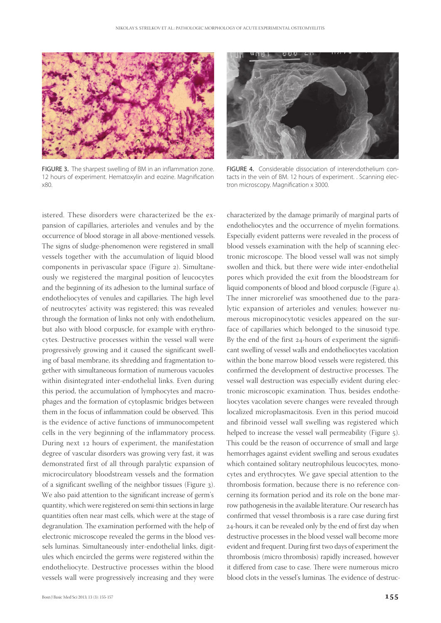

FIGURE 3. The sharpest swelling of BM in an inflammation zone. 12 hours of experiment. Hematoxylin and eozine. Magnification х80.



FIGURE 4. Considerable dissociation of interendothelium contacts in the vein of BM. 12 hours of experiment. . Scanning electron microscopy. Magnification x 3000.

characterized by the damage primarily of marginal parts of

istered. These disorders were characterized be the expansion of capillaries, arterioles and venules and by the occurrence of blood storage in all above-mentioned vessels. The signs of sludge-phenomenon were registered in small vessels together with the accumulation of liquid blood components in perivascular space (Figure 2). Simultaneously we registered the marginal position of leucocytes and the beginning of its adhesion to the luminal surface of endotheliocytes of venules and capillaries. The high level of neutrocytes' activity was registered; this was revealed through the formation of links not only with endothelium, but also with blood corpuscle, for example with erythrocytes. Destructive processes within the vessel wall were progressively growing and it caused the significant swelling of basal membrane, its shredding and fragmentation together with simultaneous formation of numerous vacuoles within disintegrated inter-endothelial links. Even during this period, the accumulation of lymphocytes and macrophages and the formation of cytoplasmic bridges between them in the focus of inflammation could be observed. This is the evidence of active functions of immunocompetent cells in the very beginning of the inflammatory process. During next 12 hours of experiment, the manifestation degree of vascular disorders was growing very fast, it was demonstrated first of all through paralytic expansion of microcirculatory bloodstream vessels and the formation of a significant swelling of the neighbor tissues (Figure ). We also paid attention to the significant increase of germ's quantity, which were registered on semi-thin sections in large quantities often near mast cells, which were at the stage of degranulation. The examination performed with the help of electronic microscope revealed the germs in the blood vessels luminas. Simultaneously inter-endothelial links, digitules which encircled the germs were registered within the endotheliocyte. Destructive processes within the blood vessels wall were progressively increasing and they were

endotheliocytes and the occurrence of myelin formations. Especially evident patterns were revealed in the process of blood vessels examination with the help of scanning electronic microscope. The blood vessel wall was not simply swollen and thick, but there were wide inter-endothelial pores which provided the exit from the bloodstream for liquid components of blood and blood corpuscle (Figure 4). The inner microrelief was smoothened due to the paralytic expansion of arterioles and venules; however numerous micropinocytotic vesicles appeared on the surface of capillaries which belonged to the sinusoid type. By the end of the first  $24$ -hours of experiment the significant swelling of vessel walls and endotheliocytes vacolation within the bone marrow blood vessels were registered, this confirmed the development of destructive processes. The vessel wall destruction was especially evident during electronic microscopic examination. Thus, besides endotheliocytes vacolation severe changes were revealed through localized microplasmacitosis. Even in this period mucoid and fibrinoid vessel wall swelling was registered which helped to increase the vessel wall permeability (Figure 5). This could be the reason of occurrence of small and large hemorrhages against evident swelling and serous exudates which contained solitary neutrophilous leucocytes, monocytes and erythrocytes. We gave special attention to the thrombosis formation, because there is no reference concerning its formation period and its role on the bone marrow pathogenesis in the available literature. Our research has confirmed that vessel thrombosis is a rare case during first 24-hours, it can be revealed only by the end of first day when destructive processes in the blood vessel wall become more evident and frequent. During first two days of experiment the thrombosis (micro thrombosis) rapidly increased, however it differed from case to case. There were numerous micro blood clots in the vessel's luminas. The evidence of destruc-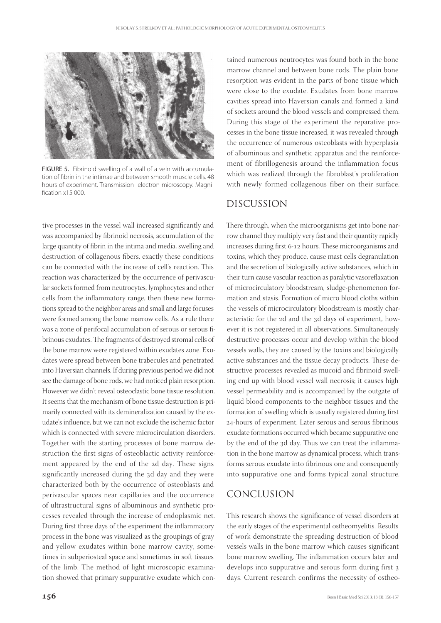

FIGURE 5. Fibrinoid swelling of a wall of a vein with accumulation of fibrin in the intimae and between smooth muscle cells. 48 hours of experiment. Transmission electron microscopy. Magni $fration x15000$ 

tive processes in the vessel wall increased significantly and was accompanied by fibrinoid necrosis, accumulation of the large quantity of fibrin in the intima and media, swelling and destruction of collagenous fibers, exactly these conditions can be connected with the increase of cell's reaction. This reaction was characterized by the occurrence of perivascular sockets formed from neutrocytes, lymphocytes and other cells from the inflammatory range, then these new formations spread to the neighbor areas and small and large focuses were formed among the bone marrow cells. As a rule there was a zone of perifocal accumulation of serous or serous fibrinous exudates. The fragments of destroyed stromal cells of the bone marrow were registered within exudates zone. Exudates were spread between bone trabecules and penetrated into Haversian channels. If during previous period we did not see the damage of bone rods, we had noticed plain resorption. However we didn't reveal osteoclastic bone tissue resolution. It seems that the mechanism of bone tissue destruction is primarily connected with its demineralization caused by the exudate's influence, but we can not exclude the ischemic factor which is connected with severe microcirculation disorders. Together with the starting processes of bone marrow destruction the first signs of osteoblactic activity reinforcement appeared by the end of the 2d day. These signs significantly increased during the 3d day and they were characterized both by the occurrence of osteoblasts and perivascular spaces near capillaries and the occurrence of ultrastructural signs of albuminous and synthetic processes revealed through the increase of endoplasmic net. During first three days of the experiment the inflammatory process in the bone was visualized as the groupings of gray and yellow exudates within bone marrow cavity, sometimes in subperiosteal space and sometimes in soft tissues of the limb. The method of light microscopic examination showed that primary suppurative exudate which con-

tained numerous neutrocytes was found both in the bone marrow channel and between bone rods. The plain bone resorption was evident in the parts of bone tissue which were close to the exudate. Exudates from bone marrow cavities spread into Haversian canals and formed a kind of sockets around the blood vessels and compressed them. During this stage of the experiment the reparative processes in the bone tissue increased, it was revealed through the occurrence of numerous osteoblasts with hyperplasia of albuminous and synthetic apparatus and the reinforcement of fibrillogenesis around the inflammation focus which was realized through the fibroblast's proliferation with newly formed collagenous fiber on their surface.

# DISCUSSION

There through, when the microorganisms get into bone narrow channel they multiply very fast and their quantity rapidly increases during first 6-12 hours. These microorganisms and toxins, which they produce, cause mast cells degranulation and the secretion of biologically active substances, which in their turn cause vascular reaction as paralytic vasoreflaxation of microcirculatory bloodstream, sludge-phenomenon formation and stasis. Formation of micro blood cloths within the vessels of microcirculatory bloodstream is mostly characteristic for the 2d and the 3d days of experiment, however it is not registered in all observations. Simultaneously destructive processes occur and develop within the blood vessels walls, they are caused by the toxins and biologically active substances and the tissue decay products. These destructive processes revealed as mucoid and fibrinoid swelling end up with blood vessel wall necrosis; it causes high vessel permeability and is accompanied by the outgate of liquid blood components to the neighbor tissues and the formation of swelling which is usually registered during first 24-hours of experiment. Later serous and serous fibrinous exudate formations occurred which became suppurative one by the end of the 3d day. Thus we can treat the inflammation in the bone marrow as dynamical process, which transforms serous exudate into fibrinous one and consequently into suppurative one and forms typical zonal structure.

# CONCLUSION

This research shows the significance of vessel disorders at the early stages of the experimental ostheomyelitis. Results of work demonstrate the spreading destruction of blood vessels walls in the bone marrow which causes significant bone marrow swelling. The inflammation occurs later and develops into suppurative and serous form during first days. Current research confirms the necessity of ostheo-